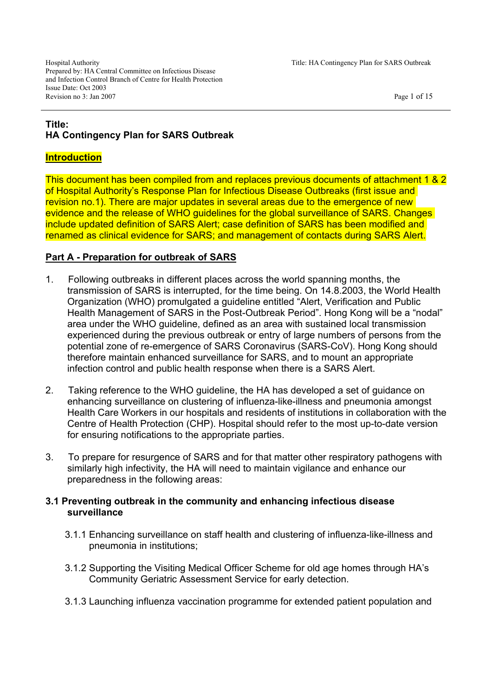Hospital Authority Title: HA Contingency Plan for SARS Outbreak Prepared by: HA Central Committee on Infectious Disease and Infection Control Branch of Centre for Health Protection Issue Date: Oct 2003 Revision no 3: Jan 2007 Page 1 of 15

# **Title: HA Contingency Plan for SARS Outbreak**

## **Introduction**

This document has been compiled from and replaces previous documents of attachment 1 & 2 of Hospital Authority's Response Plan for Infectious Disease Outbreaks (first issue and revision no.1). There are major updates in several areas due to the emergence of new evidence and the release of WHO guidelines for the global surveillance of SARS. Changes include updated definition of SARS Alert; case definition of SARS has been modified and renamed as clinical evidence for SARS; and management of contacts during SARS Alert.

## **Part A - Preparation for outbreak of SARS**

- 1. Following outbreaks in different places across the world spanning months, the transmission of SARS is interrupted, for the time being. On 14.8.2003, the World Health Organization (WHO) promulgated a guideline entitled "Alert, Verification and Public Health Management of SARS in the Post-Outbreak Period". Hong Kong will be a "nodal" area under the WHO guideline, defined as an area with sustained local transmission experienced during the previous outbreak or entry of large numbers of persons from the potential zone of re-emergence of SARS Coronavirus (SARS-CoV). Hong Kong should therefore maintain enhanced surveillance for SARS, and to mount an appropriate infection control and public health response when there is a SARS Alert.
- 2. Taking reference to the WHO guideline, the HA has developed a set of guidance on enhancing surveillance on clustering of influenza-like-illness and pneumonia amongst Health Care Workers in our hospitals and residents of institutions in collaboration with the Centre of Health Protection (CHP). Hospital should refer to the most up-to-date version for ensuring notifications to the appropriate parties.
- 3. To prepare for resurgence of SARS and for that matter other respiratory pathogens with similarly high infectivity, the HA will need to maintain vigilance and enhance our preparedness in the following areas:

## **3.1 Preventing outbreak in the community and enhancing infectious disease surveillance**

- 3.1.1 Enhancing surveillance on staff health and clustering of influenza-like-illness and pneumonia in institutions;
- 3.1.2 Supporting the Visiting Medical Officer Scheme for old age homes through HA's Community Geriatric Assessment Service for early detection.
- 3.1.3 Launching influenza vaccination programme for extended patient population and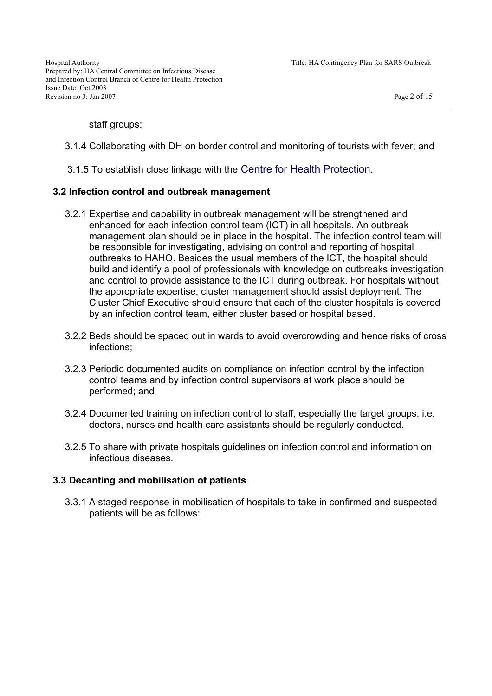staff groups;

- 3.1.4 Collaborating with DH on border control and monitoring of tourists with fever; and
- 3.1.5 To establish close linkage with the Centre for Health Protection.

#### **3.2 Infection control and outbreak management**

- 3.2.1 Expertise and capability in outbreak management will be strengthened and enhanced for each infection control team (ICT) in all hospitals. An outbreak management plan should be in place in the hospital. The infection control team will be responsible for investigating, advising on control and reporting of hospital outbreaks to HAHO. Besides the usual members of the ICT, the hospital should build and identify a pool of professionals with knowledge on outbreaks investigation and control to provide assistance to the ICT during outbreak. For hospitals without the appropriate expertise, cluster management should assist deployment. The Cluster Chief Executive should ensure that each of the cluster hospitals is covered by an infection control team, either cluster based or hospital based.
- 3.2.2 Beds should be spaced out in wards to avoid overcrowding and hence risks of cross infections;
- 3.2.3 Periodic documented audits on compliance on infection control by the infection control teams and by infection control supervisors at work place should be performed; and
- 3.2.4 Documented training on infection control to staff, especially the target groups, i.e. doctors, nurses and health care assistants should be regularly conducted.
- 3.2.5 To share with private hospitals guidelines on infection control and information on infectious diseases.

#### **3.3 Decanting and mobilisation of patients**

3.3.1 A staged response in mobilisation of hospitals to take in confirmed and suspected patients will be as follows: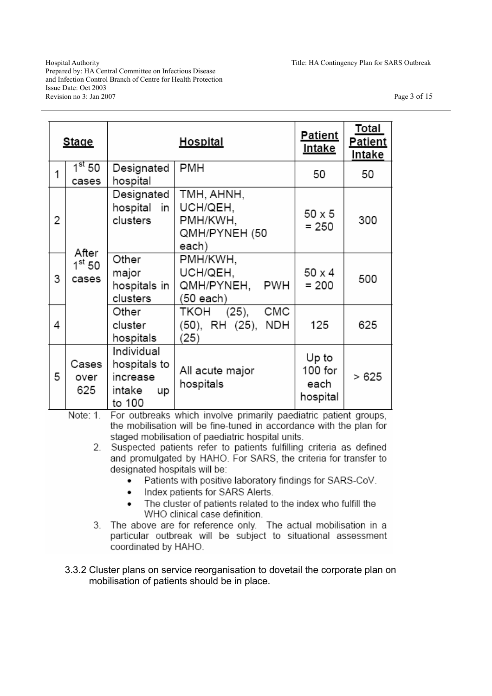Hospital Authority Title: HA Contingency Plan for SARS Outbreak Prepared by: HA Central Committee on Infectious Disease and Infection Control Branch of Centre for Health Protection Issue Date: Oct 2003 Revision no 3: Jan 2007 Page 3 of 15

| <b>Stage</b> |                                   |                                                                  | Patient<br><u>Intake</u>                                     | Total<br><b>Patient</b><br>Intake      |       |
|--------------|-----------------------------------|------------------------------------------------------------------|--------------------------------------------------------------|----------------------------------------|-------|
| 1            | 1 <sup>st</sup> 50<br>cases       | Designated<br>hospital                                           | PMH                                                          | 50                                     | 50    |
| 2            | After<br>$1^{\rm st}$ 50<br>cases | Designated<br>hospital in<br>clusters                            | TMH, AHNH,<br>UCH/QEH,<br>PMH/KWH,<br>QMH/PYNEH (50<br>each) | 50 x 5<br>$= 250$                      | 300   |
| 3            |                                   | Other<br>major<br>hospitals in<br>clusters                       | PMH/KWH,<br>UCH/QEH,<br>QMH/PYNEH, PWH<br>(50 each)          | 50 x 4<br>$= 200$                      | 500   |
| 4            |                                   | Other<br>cluster<br>hospitals                                    | CMC<br>TKOH (25),<br>(50), RH (25),<br><b>NDH</b><br>(25)    | 125                                    | 625   |
| 5            | Cases<br>over<br>625              | Individual<br>hospitals to<br>increase<br>intake<br>up<br>to 100 | All acute major<br>hospitals                                 | Up to<br>$100$ for<br>each<br>hospital | > 625 |

For outbreaks which involve primarily paediatric patient groups. Note: 1. the mobilisation will be fine-tuned in accordance with the plan for staged mobilisation of paediatric hospital units.

- 2. Suspected patients refer to patients fulfilling criteria as defined and promulgated by HAHO. For SARS, the criteria for transfer to designated hospitals will be:
	- Patients with positive laboratory findings for SARS-CoV.  $\bullet$
	- Index patients for SARS Alerts.  $\bullet$
	- The cluster of patients related to the index who fulfill the  $\bullet$ WHO clinical case definition.
- 3. The above are for reference only. The actual mobilisation in a particular outbreak will be subject to situational assessment coordinated by HAHO.
- 3.3.2 Cluster plans on service reorganisation to dovetail the corporate plan on mobilisation of patients should be in place.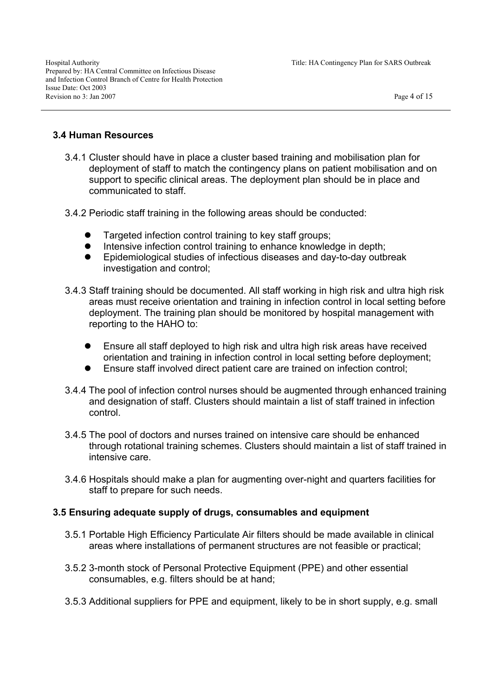## **3.4 Human Resources**

- 3.4.1 Cluster should have in place a cluster based training and mobilisation plan for deployment of staff to match the contingency plans on patient mobilisation and on support to specific clinical areas. The deployment plan should be in place and communicated to staff.
- 3.4.2 Periodic staff training in the following areas should be conducted:
	- Targeted infection control training to key staff groups;
	- Intensive infection control training to enhance knowledge in depth;
	- Epidemiological studies of infectious diseases and day-to-day outbreak investigation and control;
- 3.4.3 Staff training should be documented. All staff working in high risk and ultra high risk areas must receive orientation and training in infection control in local setting before deployment. The training plan should be monitored by hospital management with reporting to the HAHO to:
	- Ensure all staff deployed to high risk and ultra high risk areas have received orientation and training in infection control in local setting before deployment;
	- Ensure staff involved direct patient care are trained on infection control;
- 3.4.4 The pool of infection control nurses should be augmented through enhanced training and designation of staff. Clusters should maintain a list of staff trained in infection control.
- 3.4.5 The pool of doctors and nurses trained on intensive care should be enhanced through rotational training schemes. Clusters should maintain a list of staff trained in intensive care.
- 3.4.6 Hospitals should make a plan for augmenting over-night and quarters facilities for staff to prepare for such needs.

## **3.5 Ensuring adequate supply of drugs, consumables and equipment**

- 3.5.1 Portable High Efficiency Particulate Air filters should be made available in clinical areas where installations of permanent structures are not feasible or practical;
- 3.5.2 3-month stock of Personal Protective Equipment (PPE) and other essential consumables, e.g. filters should be at hand;
- 3.5.3 Additional suppliers for PPE and equipment, likely to be in short supply, e.g. small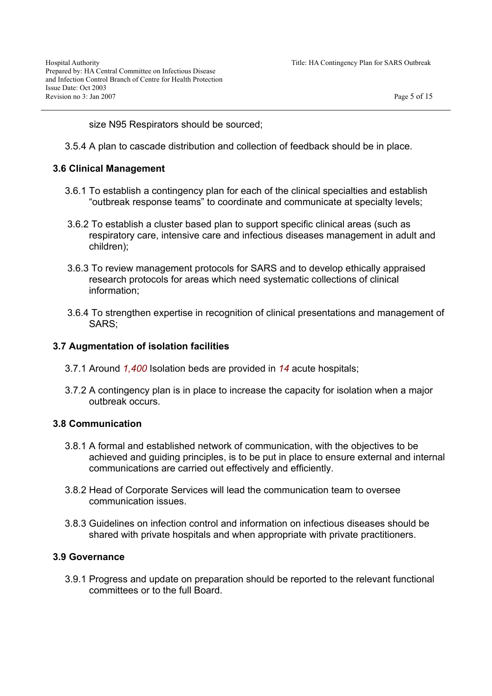size N95 Respirators should be sourced;

3.5.4 A plan to cascade distribution and collection of feedback should be in place.

### **3.6 Clinical Management**

- 3.6.1 To establish a contingency plan for each of the clinical specialties and establish "outbreak response teams" to coordinate and communicate at specialty levels;
- 3.6.2 To establish a cluster based plan to support specific clinical areas (such as respiratory care, intensive care and infectious diseases management in adult and children);
- 3.6.3 To review management protocols for SARS and to develop ethically appraised research protocols for areas which need systematic collections of clinical information;
- 3.6.4 To strengthen expertise in recognition of clinical presentations and management of SARS;

### **3.7 Augmentation of isolation facilities**

- 3.7.1 Around *1,400* Isolation beds are provided in *14* acute hospitals;
- 3.7.2 A contingency plan is in place to increase the capacity for isolation when a major outbreak occurs.

#### **3.8 Communication**

- 3.8.1 A formal and established network of communication, with the objectives to be achieved and guiding principles, is to be put in place to ensure external and internal communications are carried out effectively and efficiently.
- 3.8.2 Head of Corporate Services will lead the communication team to oversee communication issues.
- 3.8.3 Guidelines on infection control and information on infectious diseases should be shared with private hospitals and when appropriate with private practitioners.

#### **3.9 Governance**

3.9.1 Progress and update on preparation should be reported to the relevant functional committees or to the full Board.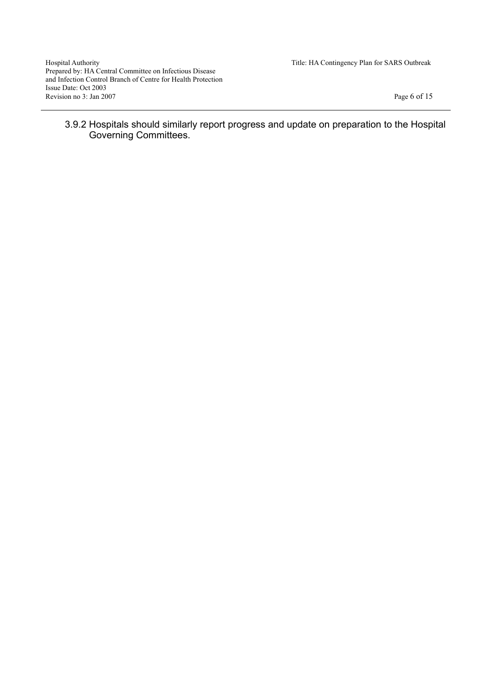Hospital Authority Title: HA Contingency Plan for SARS Outbreak Prepared by: HA Central Committee on Infectious Disease and Infection Control Branch of Centre for Health Protection Issue Date: Oct 2003 Revision no 3: Jan 2007 Page 6 of 15

3.9.2 Hospitals should similarly report progress and update on preparation to the Hospital Governing Committees.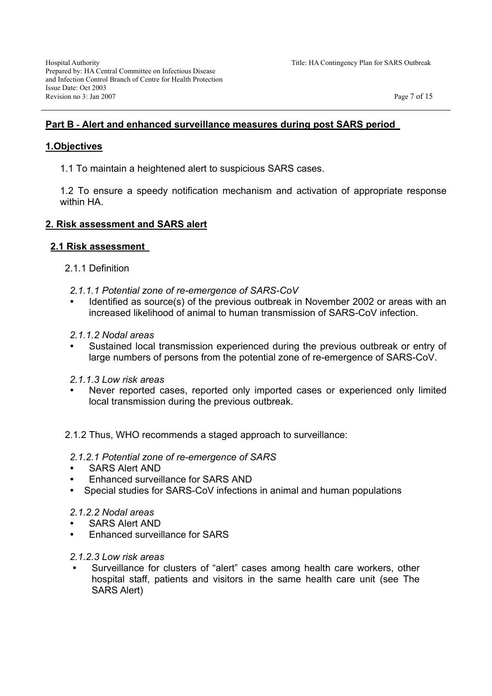## **Part B - Alert and enhanced surveillance measures during post SARS period**

### **1.Objectives**

1.1 To maintain a heightened alert to suspicious SARS cases.

1.2 To ensure a speedy notification mechanism and activation of appropriate response within HA

## **2. Risk assessment and SARS alert**

### **2.1 Risk assessment**

- 2.1.1 Definition
	- *2.1.1.1 Potential zone of re-emergence of SARS-CoV*
	- Identified as source(s) of the previous outbreak in November 2002 or areas with an increased likelihood of animal to human transmission of SARS-CoV infection.
	- *2.1.1.2 Nodal areas*
	- Sustained local transmission experienced during the previous outbreak or entry of large numbers of persons from the potential zone of re-emergence of SARS-CoV.
	- *2.1.1.3 Low risk areas*
	- Never reported cases, reported only imported cases or experienced only limited local transmission during the previous outbreak.
- 2.1.2 Thus, WHO recommends a staged approach to surveillance:
- *2.1.2.1 Potential zone of re-emergence of SARS*
- SARS Alert AND
- Enhanced surveillance for SARS AND
- Special studies for SARS-CoV infections in animal and human populations

#### *2.1.2.2 Nodal areas*

- SARS Alert AND
- Enhanced surveillance for SARS

#### *2.1.2.3 Low risk areas*

Surveillance for clusters of "alert" cases among health care workers, other hospital staff, patients and visitors in the same health care unit (see The SARS Alert)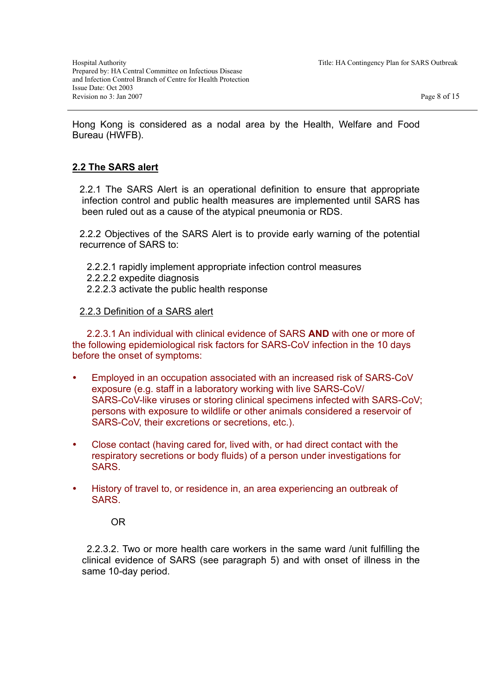Hong Kong is considered as a nodal area by the Health, Welfare and Food Bureau (HWFB).

# **2.2 The SARS alert**

2.2.1 The SARS Alert is an operational definition to ensure that appropriate infection control and public health measures are implemented until SARS has been ruled out as a cause of the atypical pneumonia or RDS.

2.2.2 Objectives of the SARS Alert is to provide early warning of the potential recurrence of SARS to:

- 2.2.2.1 rapidly implement appropriate infection control measures
- 2.2.2.2 expedite diagnosis
- 2.2.2.3 activate the public health response

### 2.2.3 Definition of a SARS alert

2.2.3.1 An individual with clinical evidence of SARS **AND** with one or more of the following epidemiological risk factors for SARS-CoV infection in the 10 days before the onset of symptoms:

- Employed in an occupation associated with an increased risk of SARS-CoV exposure (e.g. staff in a laboratory working with live SARS-CoV/ SARS-CoV-like viruses or storing clinical specimens infected with SARS-CoV; persons with exposure to wildlife or other animals considered a reservoir of SARS-CoV, their excretions or secretions, etc.).
- Close contact (having cared for, lived with, or had direct contact with the respiratory secretions or body fluids) of a person under investigations for SARS.
- History of travel to, or residence in, an area experiencing an outbreak of SARS.

OR

2.2.3.2. Two or more health care workers in the same ward /unit fulfilling the clinical evidence of SARS (see paragraph 5) and with onset of illness in the same 10-day period.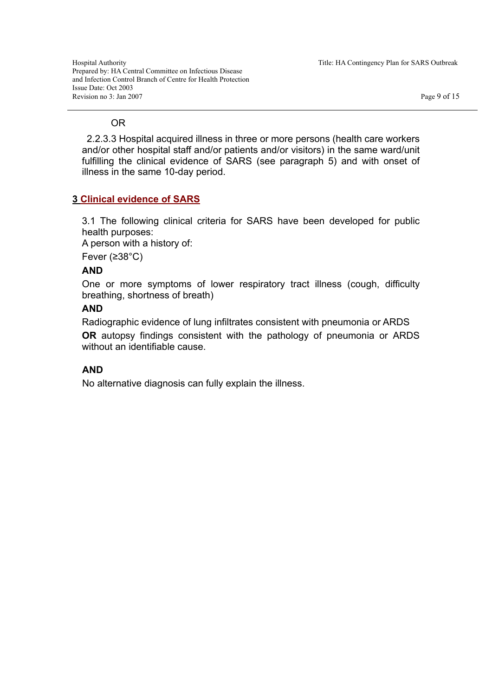Hospital Authority Title: HA Contingency Plan for SARS Outbreak Prepared by: HA Central Committee on Infectious Disease and Infection Control Branch of Centre for Health Protection Issue Date: Oct 2003 Revision no 3: Jan 2007 Page 9 of 15

### OR

2.2.3.3 Hospital acquired illness in three or more persons (health care workers and/or other hospital staff and/or patients and/or visitors) in the same ward/unit fulfilling the clinical evidence of SARS (see paragraph 5) and with onset of illness in the same 10-day period.

# **3 Clinical evidence of SARS**

3.1 The following clinical criteria for SARS have been developed for public health purposes:

A person with a history of:

Fever (≥38°C)

## **AND**

One or more symptoms of lower respiratory tract illness (cough, difficulty breathing, shortness of breath)

## **AND**

Radiographic evidence of lung infiltrates consistent with pneumonia or ARDS

**OR** autopsy findings consistent with the pathology of pneumonia or ARDS without an identifiable cause.

# **AND**

No alternative diagnosis can fully explain the illness.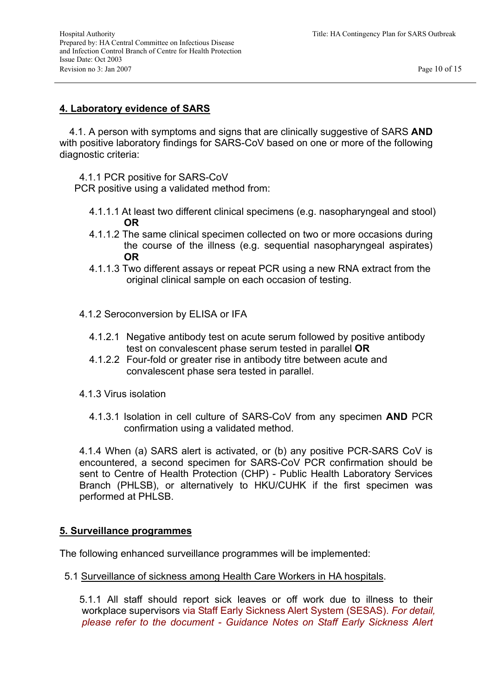### **4. Laboratory evidence of SARS**

4.1. A person with symptoms and signs that are clinically suggestive of SARS **AND**  with positive laboratory findings for SARS-CoV based on one or more of the following diagnostic criteria:

4.1.1 PCR positive for SARS-CoV

PCR positive using a validated method from:

- 4.1.1.1 At least two different clinical specimens (e.g. nasopharyngeal and stool) **OR**
- 4.1.1.2 The same clinical specimen collected on two or more occasions during the course of the illness (e.g. sequential nasopharyngeal aspirates) **OR**
- 4.1.1.3 Two different assays or repeat PCR using a new RNA extract from the original clinical sample on each occasion of testing.
- 4.1.2 Seroconversion by ELISA or IFA
	- 4.1.2.1 Negative antibody test on acute serum followed by positive antibody test on convalescent phase serum tested in parallel **OR**
	- 4.1.2.2 Four-fold or greater rise in antibody titre between acute and convalescent phase sera tested in parallel.
- 4.1.3 Virus isolation
	- 4.1.3.1 Isolation in cell culture of SARS-CoV from any specimen **AND** PCR confirmation using a validated method.

4.1.4 When (a) SARS alert is activated, or (b) any positive PCR-SARS CoV is encountered, a second specimen for SARS-CoV PCR confirmation should be sent to Centre of Health Protection (CHP) - Public Health Laboratory Services Branch (PHLSB), or alternatively to HKU/CUHK if the first specimen was performed at PHLSB.

#### **5. Surveillance programmes**

The following enhanced surveillance programmes will be implemented:

5.1 Surveillance of sickness among Health Care Workers in HA hospitals.

5.1.1 All staff should report sick leaves or off work due to illness to their workplace supervisors via Staff Early Sickness Alert System (SESAS). *For detail, please refer to the document - Guidance Notes on Staff Early Sickness Alert*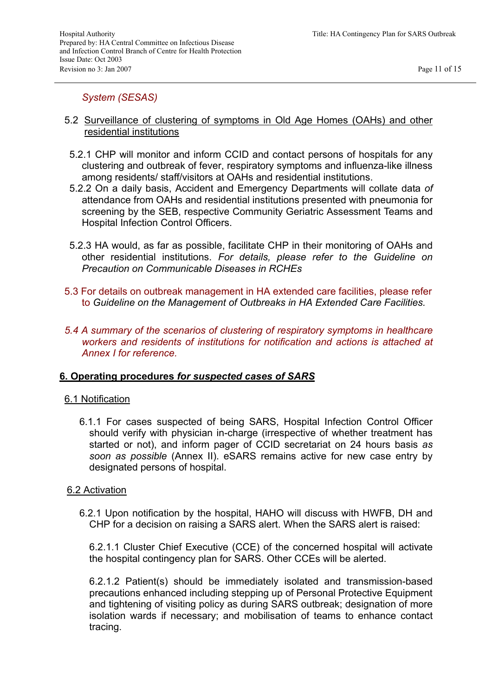## *System (SESAS)*

- 5.2 Surveillance of clustering of symptoms in Old Age Homes (OAHs) and other residential institutions
	- 5.2.1 CHP will monitor and inform CCID and contact persons of hospitals for any clustering and outbreak of fever, respiratory symptoms and influenza-like illness among residents/ staff/visitors at OAHs and residential institutions.
	- 5.2.2 On a daily basis, Accident and Emergency Departments will collate data *of*  attendance from OAHs and residential institutions presented with pneumonia for screening by the SEB, respective Community Geriatric Assessment Teams and Hospital Infection Control Officers.
	- 5.2.3 HA would, as far as possible, facilitate CHP in their monitoring of OAHs and other residential institutions. *For details, please refer to the Guideline on Precaution on Communicable Diseases in RCHEs*
- 5.3 For details on outbreak management in HA extended care facilities, please refer to *Guideline on the Management of Outbreaks in HA Extended Care Facilities.*
- *5.4 A summary of the scenarios of clustering of respiratory symptoms in healthcare workers and residents of institutions for notification and actions is attached at Annex I for reference.*

#### **6. Operating procedures** *for suspected cases of SARS*

#### 6.1 Notification

6.1.1 For cases suspected of being SARS, Hospital Infection Control Officer should verify with physician in-charge (irrespective of whether treatment has started or not), and inform pager of CCID secretariat on 24 hours basis *as soon as possible* (Annex II). eSARS remains active for new case entry by designated persons of hospital.

#### 6.2 Activation

6.2.1 Upon notification by the hospital, HAHO will discuss with HWFB, DH and CHP for a decision on raising a SARS alert. When the SARS alert is raised:

6.2.1.1 Cluster Chief Executive (CCE) of the concerned hospital will activate the hospital contingency plan for SARS. Other CCEs will be alerted.

6.2.1.2 Patient(s) should be immediately isolated and transmission-based precautions enhanced including stepping up of Personal Protective Equipment and tightening of visiting policy as during SARS outbreak; designation of more isolation wards if necessary; and mobilisation of teams to enhance contact tracing.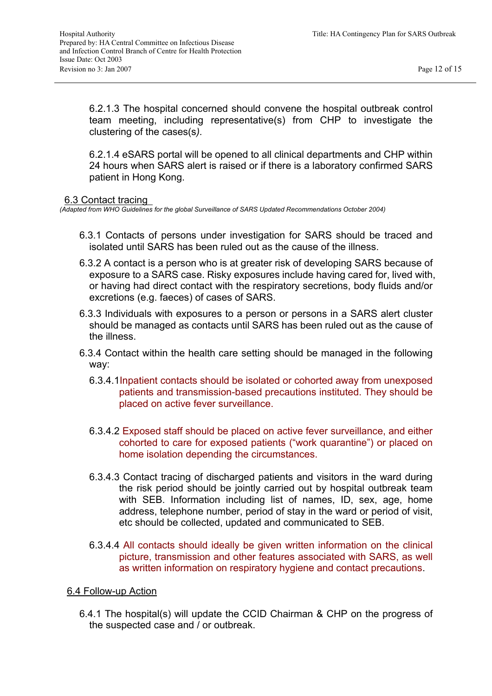6.2.1.3 The hospital concerned should convene the hospital outbreak control team meeting, including representative(s) from CHP to investigate the clustering of the cases(s*).* 

6.2.1.4 eSARS portal will be opened to all clinical departments and CHP within 24 hours when SARS alert is raised or if there is a laboratory confirmed SARS patient in Hong Kong.

#### 6.3 Contact tracing

*(Adapted from WHO Guidelines for the global Surveillance of SARS Updated Recommendations October 2004)* 

- 6.3.1 Contacts of persons under investigation for SARS should be traced and isolated until SARS has been ruled out as the cause of the illness.
- 6.3.2 A contact is a person who is at greater risk of developing SARS because of exposure to a SARS case. Risky exposures include having cared for, lived with, or having had direct contact with the respiratory secretions, body fluids and/or excretions (e.g. faeces) of cases of SARS.
- 6.3.3 Individuals with exposures to a person or persons in a SARS alert cluster should be managed as contacts until SARS has been ruled out as the cause of the illness.
- 6.3.4 Contact within the health care setting should be managed in the following way:
	- 6.3.4.1Inpatient contacts should be isolated or cohorted away from unexposed patients and transmission-based precautions instituted. They should be placed on active fever surveillance.
	- 6.3.4.2 Exposed staff should be placed on active fever surveillance, and either cohorted to care for exposed patients ("work quarantine") or placed on home isolation depending the circumstances.
	- 6.3.4.3 Contact tracing of discharged patients and visitors in the ward during the risk period should be jointly carried out by hospital outbreak team with SEB. Information including list of names, ID, sex, age, home address, telephone number, period of stay in the ward or period of visit, etc should be collected, updated and communicated to SEB.
	- 6.3.4.4 All contacts should ideally be given written information on the clinical picture, transmission and other features associated with SARS, as well as written information on respiratory hygiene and contact precautions.

#### 6.4 Follow-up Action

6.4.1 The hospital(s) will update the CCID Chairman & CHP on the progress of the suspected case and / or outbreak.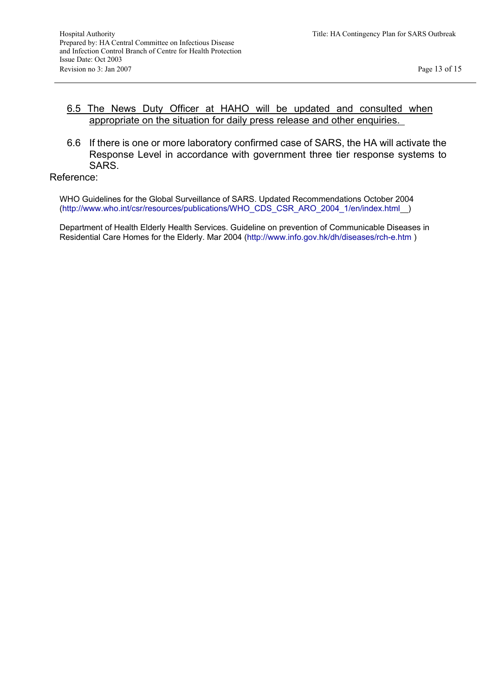### 6.5 The News Duty Officer at HAHO will be updated and consulted when appropriate on the situation for daily press release and other enquiries.

6.6 If there is one or more laboratory confirmed case of SARS, the HA will activate the Response Level in accordance with government three tier response systems to SARS.

#### Reference:

WHO Guidelines for the Global Surveillance of SARS. Updated Recommendations October 2004 (http://www.who.int/csr/resources/publications/WHO\_CDS\_CSR\_ARO\_2004\_1/en/index.html )

Department of Health Elderly Health Services. Guideline on prevention of Communicable Diseases in Residential Care Homes for the Elderly. Mar 2004 (http://www.info.gov.hk/dh/diseases/rch-e.htm )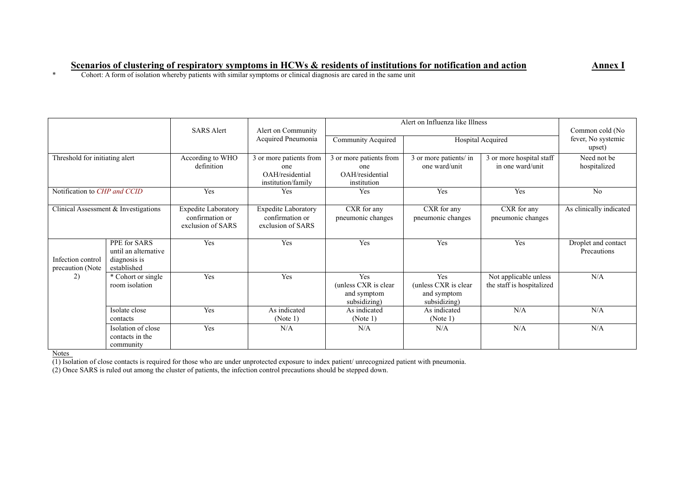#### **Scenarios of clustering of respiratory symptoms in HCWs & residents of institutions for notification and action <b>Annex I**

\* Cohort: A form of isolation whereby patients with similar symptoms or clinical diagnosis are cared in the same unit

|                                       |                                                                     | <b>SARS Alert</b>                                                  | Alert on Community<br>Acquired Pneumonia                                | Alert on Influenza like Illness                                    |                                                             |                                                    | Common cold (No                    |
|---------------------------------------|---------------------------------------------------------------------|--------------------------------------------------------------------|-------------------------------------------------------------------------|--------------------------------------------------------------------|-------------------------------------------------------------|----------------------------------------------------|------------------------------------|
|                                       |                                                                     |                                                                    |                                                                         | Community Acquired                                                 |                                                             | Hospital Acquired                                  | fever, No systemic<br>upset)       |
| Threshold for initiating alert        |                                                                     | According to WHO<br>definition                                     | 3 or more patients from<br>one<br>OAH/residential<br>institution/family | 3 or more patients from<br>one<br>OAH/residential<br>institution   | 3 or more patients/ in<br>one ward/unit                     | 3 or more hospital staff<br>in one ward/unit       | Need not be<br>hospitalized        |
| Notification to CHP and CCID          |                                                                     | Yes                                                                | Yes                                                                     | Yes                                                                | Yes                                                         | Yes                                                | No                                 |
| Clinical Assessment & Investigations  |                                                                     | <b>Expedite Laboratory</b><br>confirmation or<br>exclusion of SARS | <b>Expedite Laboratory</b><br>confirmation or<br>exclusion of SARS      | CXR for any<br>pneumonic changes                                   | CXR for any<br>pneumonic changes                            | CXR for any<br>pneumonic changes                   | As clinically indicated            |
| Infection control<br>precaution (Note | PPE for SARS<br>until an alternative<br>diagnosis is<br>established | Yes                                                                | Yes                                                                     | Yes                                                                | Yes                                                         | Yes                                                | Droplet and contact<br>Precautions |
| 2)                                    | * Cohort or single<br>room isolation                                | Yes                                                                | Yes                                                                     | <b>Yes</b><br>(unless CXR is clear)<br>and symptom<br>subsidizing) | Yes<br>(unless CXR is clear)<br>and symptom<br>subsidizing) | Not applicable unless<br>the staff is hospitalized | N/A                                |
|                                       | Isolate close<br>contacts                                           | Yes                                                                | As indicated<br>(Note 1)                                                | As indicated<br>(Note 1)                                           | As indicated<br>(Note 1)                                    | N/A                                                | N/A                                |
|                                       | Isolation of close<br>contacts in the<br>community                  | Yes                                                                | N/A                                                                     | N/A                                                                | N/A                                                         | N/A                                                | N/A                                |

Notes

(1) Isolation of close contacts is required for those who are under unprotected exposure to index patient/ unrecognized patient with pneumonia.

(2) Once SARS is ruled out among the cluster of patients, the infection control precautions should be stepped down.